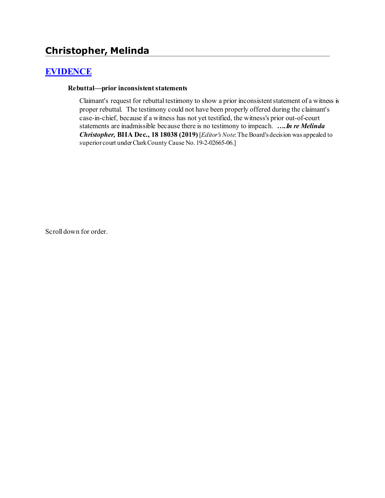# **Christopher, Melinda**

## **[EVIDENCE](http://www.biia.wa.gov/SDSubjectIndex.html#EVIDENCE)**

#### **Rebuttal—prior inconsistent statements**

Claimant's request for rebuttal testimony to show a prior inconsistent statement of a witness is proper rebuttal. The testimony could not have been properly offered during the claimant's case-in-chief, because if a witness has not yet testified, the witness's prior out-of-court statements are inadmissible because there is no testimony to impeach. *….In re Melinda Christopher,* **BIIA Dec., 18 18038 (2019)** [*Editor'sNote*: The Board's decision was appealed to superior court under Clark County Cause No. 19-2-02665-06.]

Scroll down for order.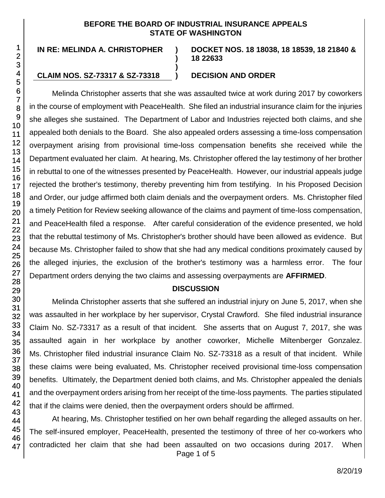#### **BEFORE THE BOARD OF INDUSTRIAL INSURANCE APPEALS STATE OF WASHINGTON**

**)**

**)**

**IN RE: MELINDA A. CHRISTOPHER )**

#### **CLAIM NOS. SZ-73317 & SZ-73318 ) DECISION AND ORDER**

**DOCKET NOS. 18 18038, 18 18539, 18 21840 & 18 22633**

Melinda Christopher asserts that she was assaulted twice at work during 2017 by coworkers in the course of employment with PeaceHealth. She filed an industrial insurance claim for the injuries she alleges she sustained. The Department of Labor and Industries rejected both claims, and she appealed both denials to the Board. She also appealed orders assessing a time-loss compensation overpayment arising from provisional time-loss compensation benefits she received while the Department evaluated her claim. At hearing, Ms. Christopher offered the lay testimony of her brother in rebuttal to one of the witnesses presented by PeaceHealth. However, our industrial appeals judge rejected the brother's testimony, thereby preventing him from testifying. In his Proposed Decision and Order, our judge affirmed both claim denials and the overpayment orders. Ms. Christopher filed a timely Petition for Review seeking allowance of the claims and payment of time-loss compensation, and PeaceHealth filed a response. After careful consideration of the evidence presented, we hold that the rebuttal testimony of Ms. Christopher's brother should have been allowed as evidence. But because Ms. Christopher failed to show that she had any medical conditions proximately caused by the alleged injuries, the exclusion of the brother's testimony was a harmless error. The four Department orders denying the two claims and assessing overpayments are **AFFIRMED**.

#### **DISCUSSION**

Melinda Christopher asserts that she suffered an industrial injury on June 5, 2017, when she was assaulted in her workplace by her supervisor, Crystal Crawford. She filed industrial insurance Claim No. SZ-73317 as a result of that incident. She asserts that on August 7, 2017, she was assaulted again in her workplace by another coworker, Michelle Miltenberger Gonzalez. Ms. Christopher filed industrial insurance Claim No. SZ-73318 as a result of that incident. While these claims were being evaluated, Ms. Christopher received provisional time-loss compensation benefits. Ultimately, the Department denied both claims, and Ms. Christopher appealed the denials and the overpayment orders arising from her receipt of the time-loss payments. The parties stipulated that if the claims were denied, then the overpayment orders should be affirmed.

Page 1 of 5 At hearing, Ms. Christopher testified on her own behalf regarding the alleged assaults on her. The self-insured employer, PeaceHealth, presented the testimony of three of her co-workers who contradicted her claim that she had been assaulted on two occasions during 2017. When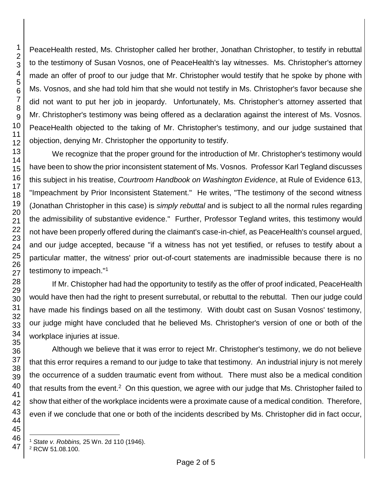PeaceHealth rested, Ms. Christopher called her brother, Jonathan Christopher, to testify in rebuttal to the testimony of Susan Vosnos, one of PeaceHealth's lay witnesses. Ms. Christopher's attorney made an offer of proof to our judge that Mr. Christopher would testify that he spoke by phone with Ms. Vosnos, and she had told him that she would not testify in Ms. Christopher's favor because she did not want to put her job in jeopardy. Unfortunately, Ms. Christopher's attorney asserted that Mr. Christopher's testimony was being offered as a declaration against the interest of Ms. Vosnos. PeaceHealth objected to the taking of Mr. Christopher's testimony, and our judge sustained that objection, denying Mr. Christopher the opportunity to testify.

We recognize that the proper ground for the introduction of Mr. Christopher's testimony would have been to show the prior inconsistent statement of Ms. Vosnos. Professor Karl Tegland discusses this subject in his treatise, *Courtroom Handbook on Washington Evidence*, at Rule of Evidence 613, "Impeachment by Prior Inconsistent Statement." He writes, "The testimony of the second witness (Jonathan Christopher in this case) is *simply rebuttal* and is subject to all the normal rules regarding the admissibility of substantive evidence." Further, Professor Tegland writes, this testimony would not have been properly offered during the claimant's case-in-chief, as PeaceHealth's counsel argued, and our judge accepted, because "if a witness has not yet testified, or refuses to testify about a particular matter, the witness' prior out-of-court statements are inadmissible because there is no testimony to impeach."<sup>1</sup>

If Mr. Chistopher had had the opportunity to testify as the offer of proof indicated, PeaceHealth would have then had the right to present surrebutal, or rebuttal to the rebuttal. Then our judge could have made his findings based on all the testimony. With doubt cast on Susan Vosnos' testimony, our judge might have concluded that he believed Ms. Christopher's version of one or both of the workplace injuries at issue.

Although we believe that it was error to reject Mr. Christopher's testimony, we do not believe that this error requires a remand to our judge to take that testimony. An industrial injury is not merely the occurrence of a sudden traumatic event from without. There must also be a medical condition that results from the event.<sup>2</sup> On this question, we agree with our judge that Ms. Christopher failed to show that either of the workplace incidents were a proximate cause of a medical condition. Therefore, even if we conclude that one or both of the incidents described by Ms. Christopher did in fact occur,

 *State v. Robbins,* 25 Wn. 2d 110 (1946).

RCW 51.08.100.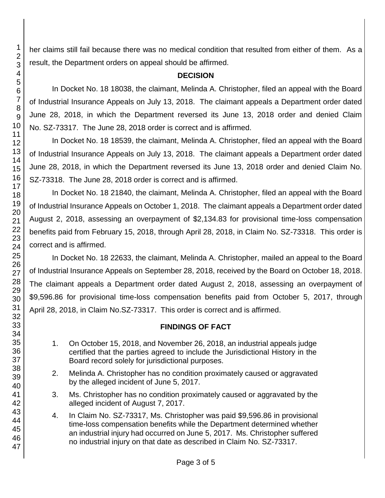her claims still fail because there was no medical condition that resulted from either of them. As a result, the Department orders on appeal should be affirmed.

#### **DECISION**

In Docket No. 18 18038, the claimant, Melinda A. Christopher, filed an appeal with the Board of Industrial Insurance Appeals on July 13, 2018. The claimant appeals a Department order dated June 28, 2018, in which the Department reversed its June 13, 2018 order and denied Claim No. SZ-73317. The June 28, 2018 order is correct and is affirmed.

In Docket No. 18 18539, the claimant, Melinda A. Christopher, filed an appeal with the Board of Industrial Insurance Appeals on July 13, 2018. The claimant appeals a Department order dated June 28, 2018, in which the Department reversed its June 13, 2018 order and denied Claim No. SZ-73318. The June 28, 2018 order is correct and is affirmed.

In Docket No. 18 21840, the claimant, Melinda A. Christopher, filed an appeal with the Board of Industrial Insurance Appeals on October 1, 2018. The claimant appeals a Department order dated August 2, 2018, assessing an overpayment of \$2,134.83 for provisional time-loss compensation benefits paid from February 15, 2018, through April 28, 2018, in Claim No. SZ-73318. This order is correct and is affirmed.

In Docket No. 18 22633, the claimant, Melinda A. Christopher, mailed an appeal to the Board of Industrial Insurance Appeals on September 28, 2018, received by the Board on October 18, 2018. The claimant appeals a Department order dated August 2, 2018, assessing an overpayment of \$9,596.86 for provisional time-loss compensation benefits paid from October 5, 2017, through April 28, 2018, in Claim No.SZ-73317. This order is correct and is affirmed.

## **FINDINGS OF FACT**

- 1. On October 15, 2018, and November 26, 2018, an industrial appeals judge certified that the parties agreed to include the Jurisdictional History in the Board record solely for jurisdictional purposes.
- 2. Melinda A. Christopher has no condition proximately caused or aggravated by the alleged incident of June 5, 2017.
- 3. Ms. Christopher has no condition proximately caused or aggravated by the alleged incident of August 7, 2017.
- 4. In Claim No. SZ-73317, Ms. Christopher was paid \$9,596.86 in provisional time-loss compensation benefits while the Department determined whether an industrial injury had occurred on June 5, 2017. Ms. Christopher suffered no industrial injury on that date as described in Claim No. SZ-73317.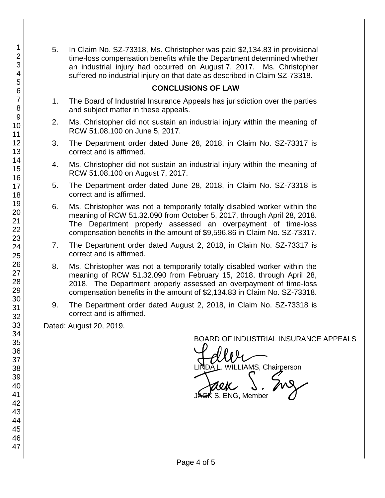5. In Claim No. SZ-73318, Ms. Christopher was paid \$2,134.83 in provisional time-loss compensation benefits while the Department determined whether an industrial injury had occurred on August 7, 2017. Ms. Christopher suffered no industrial injury on that date as described in Claim SZ-73318.

#### **CONCLUSIONS OF LAW**

- 1. The Board of Industrial Insurance Appeals has jurisdiction over the parties and subject matter in these appeals.
- 2. Ms. Christopher did not sustain an industrial injury within the meaning of RCW 51.08.100 on June 5, 2017.
- 3. The Department order dated June 28, 2018, in Claim No. SZ-73317 is correct and is affirmed.
- 4. Ms. Christopher did not sustain an industrial injury within the meaning of RCW 51.08.100 on August 7, 2017.
- 5. The Department order dated June 28, 2018, in Claim No. SZ-73318 is correct and is affirmed.
- 6. Ms. Christopher was not a temporarily totally disabled worker within the meaning of RCW 51.32.090 from October 5, 2017, through April 28, 2018. The Department properly assessed an overpayment of time-loss compensation benefits in the amount of \$9,596.86 in Claim No. SZ-73317.
- 7. The Department order dated August 2, 2018, in Claim No. SZ-73317 is correct and is affirmed.
- 8. Ms. Christopher was not a temporarily totally disabled worker within the meaning of RCW 51.32.090 from February 15, 2018, through April 28, 2018. The Department properly assessed an overpayment of time-loss compensation benefits in the amount of \$2,134.83 in Claim No. SZ-73318.
- 9. The Department order dated August 2, 2018, in Claim No. SZ-73318 is correct and is affirmed.

Dated: August 20, 2019.

BOARD OF INDUSTRIAL INSURANCE APPEALS<br>
UNIX<br>
UNIX OF OPENING LINDA L. WILLIAMS, Chairperson<br>JAGK S. ENG, Member  $\overline{\mathsf{S}}$ . ENG, Member